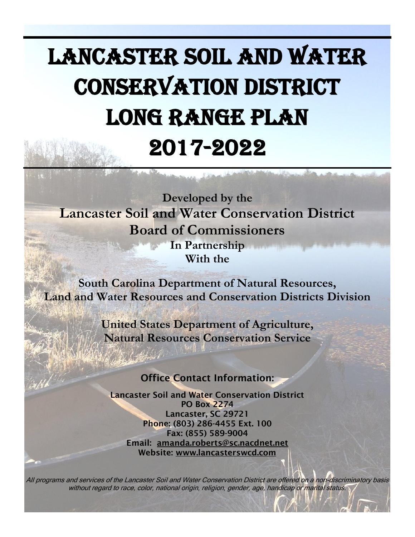# Lancaster Soil and Water Conservation District Long Range Plan 2017-2022

**Developed by the Lancaster Soil and Water Conservation District Board of Commissioners In Partnership With the**

**South Carolina Department of Natural Resources, Land and Water Resources and Conservation Districts Division**

> **United States Department of Agriculture, Natural Resources Conservation Service**

## Office Contact Information:

Lancaster Soil and Water Conservation District PO Box 2274 Lancaster, SC 29721 Phone: (803) 286-4455 Ext. 100 Fax: (855) 589-9004 Email: [amanda.roberts@sc.nacdnet.net](mailto:amanda.roberts@sc.nacdnet.net) Website: [www.lancasterswcd.com](http://www.lancasterswcd.com/)

All programs and services of the Lancaster Soil and Water Conservation District are offered on a non-discriminatory basis without regard to race, color, national origin, religion, gender, age, handicap or marital status.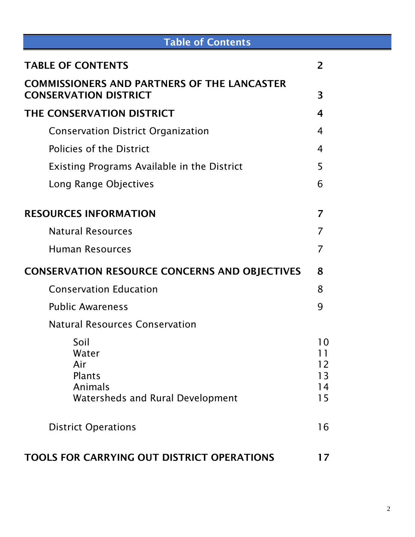| <b>Table of Contents</b>                                                             |                            |
|--------------------------------------------------------------------------------------|----------------------------|
| <b>TABLE OF CONTENTS</b>                                                             | 2                          |
| <b>COMMISSIONERS AND PARTNERS OF THE LANCASTER</b><br><b>CONSERVATION DISTRICT</b>   | 3                          |
| THE CONSERVATION DISTRICT                                                            | 4                          |
| <b>Conservation District Organization</b>                                            | 4                          |
| <b>Policies of the District</b>                                                      | 4                          |
| <b>Existing Programs Available in the District</b>                                   | 5                          |
| Long Range Objectives                                                                | 6                          |
| <b>RESOURCES INFORMATION</b>                                                         | 7                          |
| <b>Natural Resources</b>                                                             | 7                          |
| <b>Human Resources</b>                                                               | 7                          |
| <b>CONSERVATION RESOURCE CONCERNS AND OBJECTIVES</b>                                 | 8                          |
| <b>Conservation Education</b>                                                        | 8                          |
| <b>Public Awareness</b>                                                              | 9                          |
| <b>Natural Resources Conservation</b>                                                |                            |
| Soil<br>Water<br>Air<br>Plants<br>Animals<br><b>Watersheds and Rural Development</b> | 10<br>12<br>13<br>14<br>15 |
| <b>District Operations</b>                                                           | 16                         |
| <b>TOOLS FOR CARRYING OUT DISTRICT OPERATIONS</b>                                    | 17                         |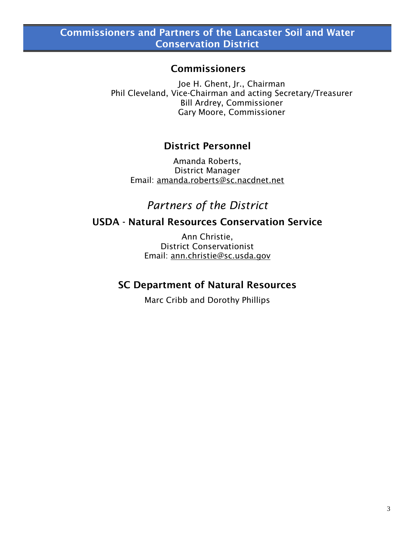### Commissioners

Joe H. Ghent, Jr., Chairman Phil Cleveland, Vice-Chairman and acting Secretary/Treasurer Bill Ardrey, Commissioner Gary Moore, Commissioner

## District Personnel

Amanda Roberts, District Manager Email: [amanda.roberts@sc.nacdnet.net](mailto:amanda.roberts@sc.nacdnet.net)

*Partners of the District*

## USDA - Natural Resources Conservation Service

Ann Christie, District Conservationist Email: [ann.christie@sc.usda.gov](mailto:ann.christie@sc.usda.gov)

## SC Department of Natural Resources

Marc Cribb and Dorothy Phillips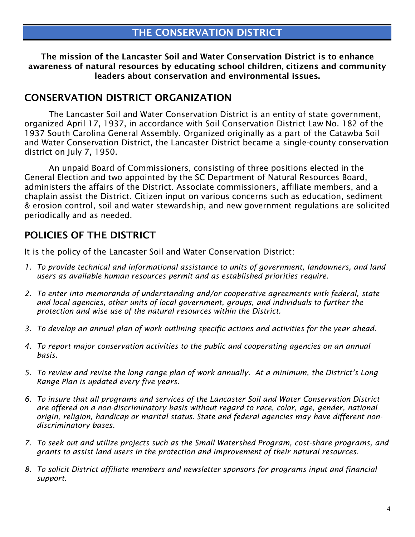The mission of the Lancaster Soil and Water Conservation District is to enhance awareness of natural resources by educating school children, citizens and community leaders about conservation and environmental issues.

## CONSERVATION DISTRICT ORGANIZATION

The Lancaster Soil and Water Conservation District is an entity of state government, organized April 17, 1937, in accordance with Soil Conservation District Law No. 182 of the 1937 South Carolina General Assembly. Organized originally as a part of the Catawba Soil and Water Conservation District, the Lancaster District became a single-county conservation district on July 7, 1950.

An unpaid Board of Commissioners, consisting of three positions elected in the General Election and two appointed by the SC Department of Natural Resources Board, administers the affairs of the District. Associate commissioners, affiliate members, and a chaplain assist the District. Citizen input on various concerns such as education, sediment & erosion control, soil and water stewardship, and new government regulations are solicited periodically and as needed.

## POLICIES OF THE DISTRICT

It is the policy of the Lancaster Soil and Water Conservation District:

- *1. To provide technical and informational assistance to units of government, landowners, and land users as available human resources permit and as established priorities require.*
- *2. To enter into memoranda of understanding and/or cooperative agreements with federal, state and local agencies, other units of local government, groups, and individuals to further the protection and wise use of the natural resources within the District.*
- *3. To develop an annual plan of work outlining specific actions and activities for the year ahead.*
- *4. To report major conservation activities to the public and cooperating agencies on an annual basis.*
- *5. To review and revise the long range plan of work annually. At a minimum, the District's Long Range Plan is updated every five years.*
- *6. To insure that all programs and services of the Lancaster Soil and Water Conservation District are offered on a non-discriminatory basis without regard to race, color, age, gender, national origin, religion, handicap or marital status. State and federal agencies may have different nondiscriminatory bases.*
- *7. To seek out and utilize projects such as the Small Watershed Program, cost-share programs, and grants to assist land users in the protection and improvement of their natural resources.*
- *8. To solicit District affiliate members and newsletter sponsors for programs input and financial support.*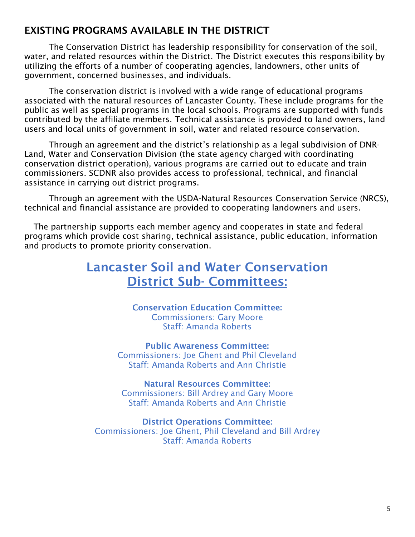## EXISTING PROGRAMS AVAILABLE IN THE DISTRICT

The Conservation District has leadership responsibility for conservation of the soil, water, and related resources within the District. The District executes this responsibility by utilizing the efforts of a number of cooperating agencies, landowners, other units of government, concerned businesses, and individuals.

The conservation district is involved with a wide range of educational programs associated with the natural resources of Lancaster County. These include programs for the public as well as special programs in the local schools. Programs are supported with funds contributed by the affiliate members. Technical assistance is provided to land owners, land users and local units of government in soil, water and related resource conservation.

Through an agreement and the district's relationship as a legal subdivision of DNR-Land, Water and Conservation Division (the state agency charged with coordinating conservation district operation), various programs are carried out to educate and train commissioners. SCDNR also provides access to professional, technical, and financial assistance in carrying out district programs.

Through an agreement with the USDA-Natural Resources Conservation Service (NRCS), technical and financial assistance are provided to cooperating landowners and users.

The partnership supports each member agency and cooperates in state and federal programs which provide cost sharing, technical assistance, public education, information and products to promote priority conservation.

## Lancaster Soil and Water Conservation District Sub- Committees:

Conservation Education Committee: Commissioners: Gary Moore Staff: Amanda Roberts

Public Awareness Committee: Commissioners: Joe Ghent and Phil Cleveland Staff: Amanda Roberts and Ann Christie

Natural Resources Committee: Commissioners: Bill Ardrey and Gary Moore Staff: Amanda Roberts and Ann Christie

District Operations Committee: Commissioners: Joe Ghent, Phil Cleveland and Bill Ardrey Staff: Amanda Roberts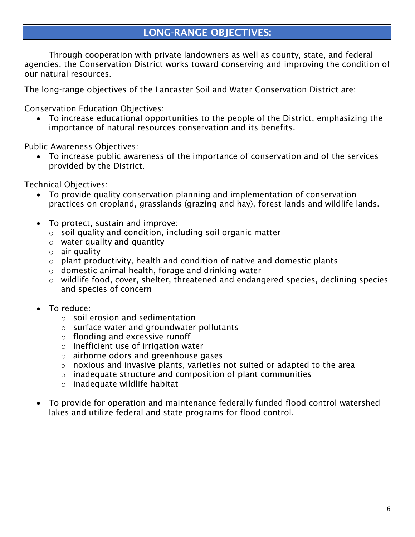## LONG-RANGE OBJECTIVES:

Through cooperation with private landowners as well as county, state, and federal agencies, the Conservation District works toward conserving and improving the condition of our natural resources.

The long-range objectives of the Lancaster Soil and Water Conservation District are:

Conservation Education Objectives:

 To increase educational opportunities to the people of the District, emphasizing the importance of natural resources conservation and its benefits.

Public Awareness Objectives:

 To increase public awareness of the importance of conservation and of the services provided by the District.

Technical Objectives:

- To provide quality conservation planning and implementation of conservation practices on cropland, grasslands (grazing and hay), forest lands and wildlife lands.
- To protect, sustain and improve:
	- o soil quality and condition, including soil organic matter
	- o water quality and quantity
	- $\circ$  air quality
	- $\circ$  plant productivity, health and condition of native and domestic plants
	- $\circ$  domestic animal health, forage and drinking water
	- o wildlife food, cover, shelter, threatened and endangered species, declining species and species of concern
- To reduce:
	- $\circ$  soil erosion and sedimentation
	- o surface water and groundwater pollutants
	- o flooding and excessive runoff
	- o Inefficient use of irrigation water
	- o airborne odors and greenhouse gases
	- $\circ$  noxious and invasive plants, varieties not suited or adapted to the area
	- $\circ$  inadequate structure and composition of plant communities
	- o inadequate wildlife habitat
- To provide for operation and maintenance federally-funded flood control watershed lakes and utilize federal and state programs for flood control.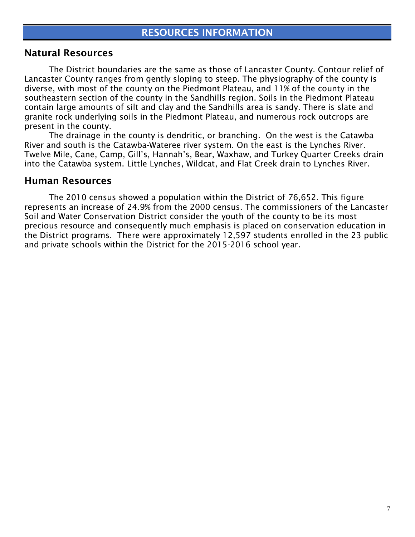#### Natural Resources

The District boundaries are the same as those of Lancaster County. Contour relief of Lancaster County ranges from gently sloping to steep. The physiography of the county is diverse, with most of the county on the Piedmont Plateau, and 11% of the county in the southeastern section of the county in the Sandhills region. Soils in the Piedmont Plateau contain large amounts of silt and clay and the Sandhills area is sandy. There is slate and granite rock underlying soils in the Piedmont Plateau, and numerous rock outcrops are present in the county.

The drainage in the county is dendritic, or branching. On the west is the Catawba River and south is the Catawba-Wateree river system. On the east is the Lynches River. Twelve Mile, Cane, Camp, Gill's, Hannah's, Bear, Waxhaw, and Turkey Quarter Creeks drain into the Catawba system. Little Lynches, Wildcat, and Flat Creek drain to Lynches River.

#### Human Resources

The 2010 census showed a population within the District of 76,652. This figure represents an increase of 24.9% from the 2000 census. The commissioners of the Lancaster Soil and Water Conservation District consider the youth of the county to be its most precious resource and consequently much emphasis is placed on conservation education in the District programs. There were approximately 12,597 students enrolled in the 23 public and private schools within the District for the 2015-2016 school year.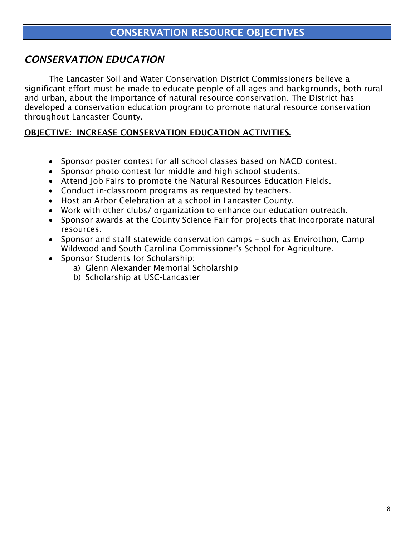## *CONSERVATION EDUCATION*

The Lancaster Soil and Water Conservation District Commissioners believe a significant effort must be made to educate people of all ages and backgrounds, both rural and urban, about the importance of natural resource conservation. The District has developed a conservation education program to promote natural resource conservation throughout Lancaster County.

#### OBJECTIVE: INCREASE CONSERVATION EDUCATION ACTIVITIES.

- Sponsor poster contest for all school classes based on NACD contest.
- Sponsor photo contest for middle and high school students.
- Attend Job Fairs to promote the Natural Resources Education Fields.
- Conduct in-classroom programs as requested by teachers.
- Host an Arbor Celebration at a school in Lancaster County.
- Work with other clubs/ organization to enhance our education outreach.
- Sponsor awards at the County Science Fair for proiects that incorporate natural resources.
- Sponsor and staff statewide conservation camps such as Envirothon, Camp Wildwood and South Carolina Commissioner's School for Agriculture.
- Sponsor Students for Scholarship:
	- a) Glenn Alexander Memorial Scholarship
	- b) Scholarship at USC-Lancaster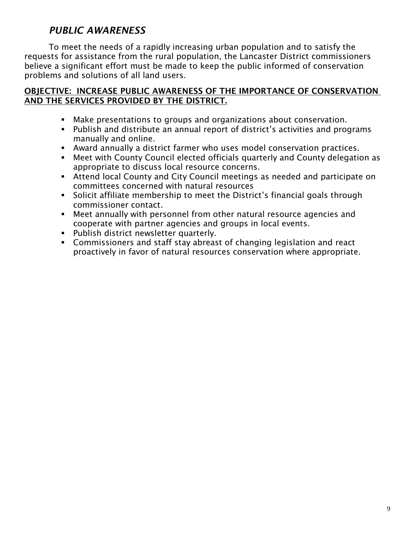## *PUBLIC AWARENESS*

To meet the needs of a rapidly increasing urban population and to satisfy the requests for assistance from the rural population, the Lancaster District commissioners believe a significant effort must be made to keep the public informed of conservation problems and solutions of all land users.

#### OBJECTIVE: INCREASE PUBLIC AWARENESS OF THE IMPORTANCE OF CONSERVATION AND THE SERVICES PROVIDED BY THE DISTRICT.

- Make presentations to groups and organizations about conservation.
- Publish and distribute an annual report of district's activities and programs manually and online.
- Award annually a district farmer who uses model conservation practices.
- Meet with County Council elected officials quarterly and County delegation as appropriate to discuss local resource concerns.
- Attend local County and City Council meetings as needed and participate on committees concerned with natural resources
- Solicit affiliate membership to meet the District's financial goals through commissioner contact.
- Meet annually with personnel from other natural resource agencies and cooperate with partner agencies and groups in local events.
- **Publish district newsletter quarterly.**
- Commissioners and staff stay abreast of changing legislation and react proactively in favor of natural resources conservation where appropriate.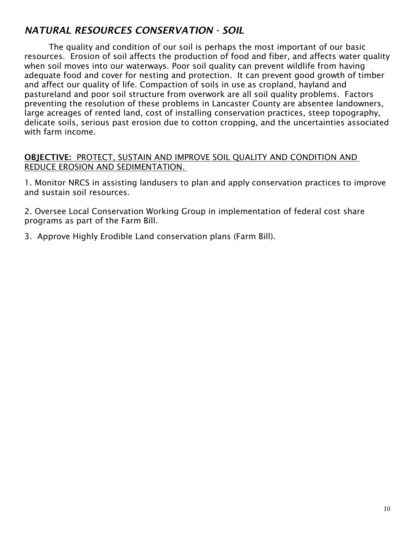## *NATURAL RESOURCES CONSERVATION - SOIL*

The quality and condition of our soil is perhaps the most important of our basic resources. Erosion of soil affects the production of food and fiber, and affects water quality when soil moves into our waterways. Poor soil quality can prevent wildlife from having adequate food and cover for nesting and protection. It can prevent good growth of timber and affect our quality of life. Compaction of soils in use as cropland, hayland and pastureland and poor soil structure from overwork are all soil quality problems. Factors preventing the resolution of these problems in Lancaster County are absentee landowners, large acreages of rented land, cost of installing conservation practices, steep topography, delicate soils, serious past erosion due to cotton cropping, and the uncertainties associated with farm income.

#### OBJECTIVE: PROTECT, SUSTAIN AND IMPROVE SOIL QUALITY AND CONDITION AND REDUCE EROSION AND SEDIMENTATION.

1. Monitor NRCS in assisting landusers to plan and apply conservation practices to improve and sustain soil resources.

2. Oversee Local Conservation Working Group in implementation of federal cost share programs as part of the Farm Bill.

3. Approve Highly Erodible Land conservation plans (Farm Bill).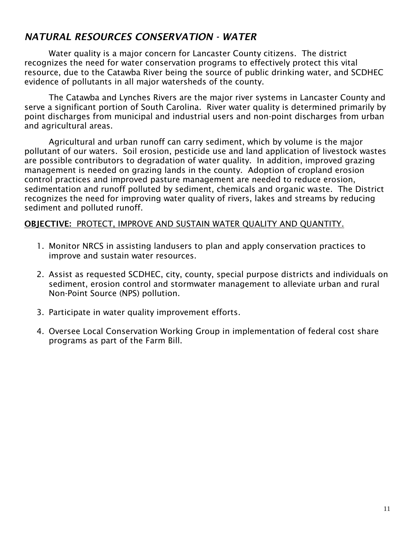## *NATURAL RESOURCES CONSERVATION - WATER*

Water quality is a major concern for Lancaster County citizens. The district recognizes the need for water conservation programs to effectively protect this vital resource, due to the Catawba River being the source of public drinking water, and SCDHEC evidence of pollutants in all major watersheds of the county.

The Catawba and Lynches Rivers are the major river systems in Lancaster County and serve a significant portion of South Carolina. River water quality is determined primarily by point discharges from municipal and industrial users and non-point discharges from urban and agricultural areas.

Agricultural and urban runoff can carry sediment, which by volume is the major pollutant of our waters. Soil erosion, pesticide use and land application of livestock wastes are possible contributors to degradation of water quality. In addition, improved grazing management is needed on grazing lands in the county. Adoption of cropland erosion control practices and improved pasture management are needed to reduce erosion, sedimentation and runoff polluted by sediment, chemicals and organic waste. The District recognizes the need for improving water quality of rivers, lakes and streams by reducing sediment and polluted runoff.

#### OBJECTIVE: PROTECT, IMPROVE AND SUSTAIN WATER QUALITY AND QUANTITY.

- 1. Monitor NRCS in assisting landusers to plan and apply conservation practices to improve and sustain water resources.
- 2. Assist as requested SCDHEC, city, county, special purpose districts and individuals on sediment, erosion control and stormwater management to alleviate urban and rural Non-Point Source (NPS) pollution.
- 3. Participate in water quality improvement efforts.
- 4. Oversee Local Conservation Working Group in implementation of federal cost share programs as part of the Farm Bill.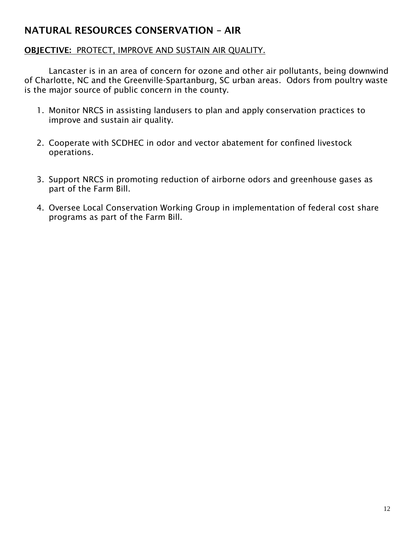## NATURAL RESOURCES CONSERVATION – AIR

#### OBJECTIVE: PROTECT, IMPROVE AND SUSTAIN AIR QUALITY.

Lancaster is in an area of concern for ozone and other air pollutants, being downwind of Charlotte, NC and the Greenville-Spartanburg, SC urban areas. Odors from poultry waste is the major source of public concern in the county.

- 1. Monitor NRCS in assisting landusers to plan and apply conservation practices to improve and sustain air quality.
- 2. Cooperate with SCDHEC in odor and vector abatement for confined livestock operations.
- 3. Support NRCS in promoting reduction of airborne odors and greenhouse gases as part of the Farm Bill.
- 4. Oversee Local Conservation Working Group in implementation of federal cost share programs as part of the Farm Bill.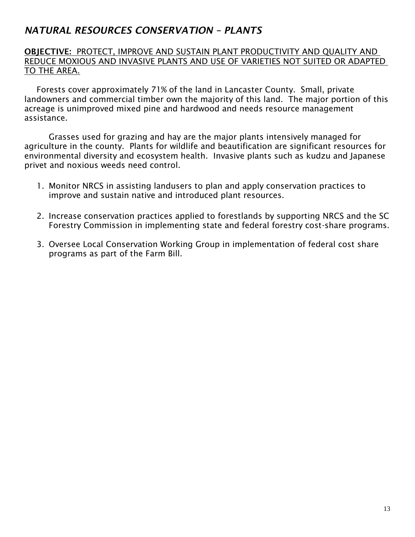## *NATURAL RESOURCES CONSERVATION – PLANTS*

#### OBJECTIVE: PROTECT, IMPROVE AND SUSTAIN PLANT PRODUCTIVITY AND QUALITY AND REDUCE MOXIOUS AND INVASIVE PLANTS AND USE OF VARIETIES NOT SUITED OR ADAPTED TO THE AREA.

Forests cover approximately 71% of the land in Lancaster County. Small, private landowners and commercial timber own the majority of this land. The major portion of this acreage is unimproved mixed pine and hardwood and needs resource management assistance.

Grasses used for grazing and hay are the major plants intensively managed for agriculture in the county. Plants for wildlife and beautification are significant resources for environmental diversity and ecosystem health. Invasive plants such as kudzu and Japanese privet and noxious weeds need control.

- 1. Monitor NRCS in assisting landusers to plan and apply conservation practices to improve and sustain native and introduced plant resources.
- 2. Increase conservation practices applied to forestlands by supporting NRCS and the SC Forestry Commission in implementing state and federal forestry cost-share programs.
- 3. Oversee Local Conservation Working Group in implementation of federal cost share programs as part of the Farm Bill.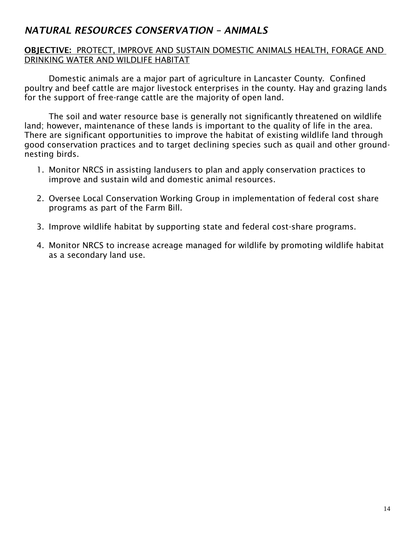## *NATURAL RESOURCES CONSERVATION – ANIMALS*

#### OBJECTIVE: PROTECT, IMPROVE AND SUSTAIN DOMESTIC ANIMALS HEALTH, FORAGE AND DRINKING WATER AND WILDLIFE HABITAT

Domestic animals are a major part of agriculture in Lancaster County. Confined poultry and beef cattle are major livestock enterprises in the county. Hay and grazing lands for the support of free-range cattle are the majority of open land.

The soil and water resource base is generally not significantly threatened on wildlife land; however, maintenance of these lands is important to the quality of life in the area. There are significant opportunities to improve the habitat of existing wildlife land through good conservation practices and to target declining species such as quail and other groundnesting birds.

- 1. Monitor NRCS in assisting landusers to plan and apply conservation practices to improve and sustain wild and domestic animal resources.
- 2. Oversee Local Conservation Working Group in implementation of federal cost share programs as part of the Farm Bill.
- 3. Improve wildlife habitat by supporting state and federal cost-share programs.
- 4. Monitor NRCS to increase acreage managed for wildlife by promoting wildlife habitat as a secondary land use.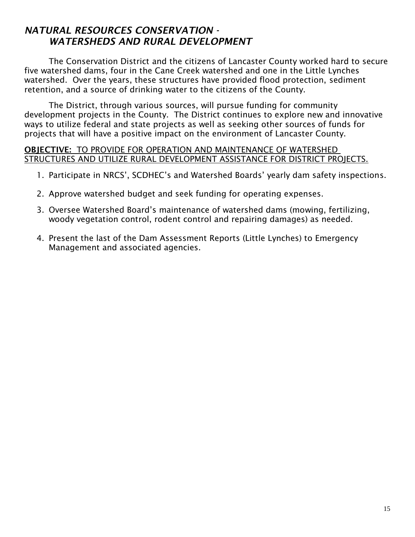## *NATURAL RESOURCES CONSERVATION - WATERSHEDS AND RURAL DEVELOPMENT*

The Conservation District and the citizens of Lancaster County worked hard to secure five watershed dams, four in the Cane Creek watershed and one in the Little Lynches watershed. Over the years, these structures have provided flood protection, sediment retention, and a source of drinking water to the citizens of the County.

The District, through various sources, will pursue funding for community development projects in the County. The District continues to explore new and innovative ways to utilize federal and state projects as well as seeking other sources of funds for projects that will have a positive impact on the environment of Lancaster County.

#### OBJECTIVE: TO PROVIDE FOR OPERATION AND MAINTENANCE OF WATERSHED STRUCTURES AND UTILIZE RURAL DEVELOPMENT ASSISTANCE FOR DISTRICT PROJECTS.

- 1. Participate in NRCS', SCDHEC's and Watershed Boards' yearly dam safety inspections.
- 2. Approve watershed budget and seek funding for operating expenses.
- 3. Oversee Watershed Board's maintenance of watershed dams (mowing, fertilizing, woody vegetation control, rodent control and repairing damages) as needed.
- 4. Present the last of the Dam Assessment Reports (Little Lynches) to Emergency Management and associated agencies.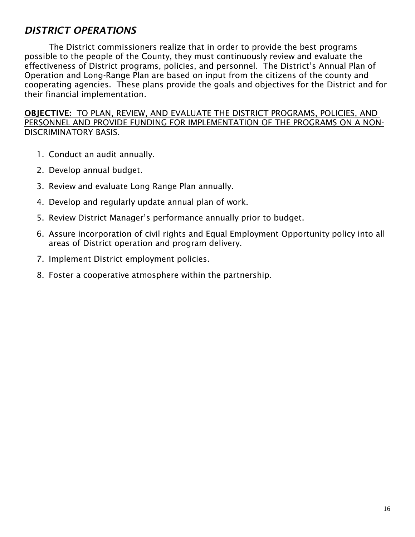## *DISTRICT OPERATIONS*

The District commissioners realize that in order to provide the best programs possible to the people of the County, they must continuously review and evaluate the effectiveness of District programs, policies, and personnel. The District's Annual Plan of Operation and Long-Range Plan are based on input from the citizens of the county and cooperating agencies. These plans provide the goals and objectives for the District and for their financial implementation.

OBJECTIVE: TO PLAN, REVIEW, AND EVALUATE THE DISTRICT PROGRAMS, POLICIES, AND PERSONNEL AND PROVIDE FUNDING FOR IMPLEMENTATION OF THE PROGRAMS ON A NON-DISCRIMINATORY BASIS.

- 1. Conduct an audit annually.
- 2. Develop annual budget.
- 3. Review and evaluate Long Range Plan annually.
- 4. Develop and regularly update annual plan of work.
- 5. Review District Manager's performance annually prior to budget.
- 6. Assure incorporation of civil rights and Equal Employment Opportunity policy into all areas of District operation and program delivery.
- 7. Implement District employment policies.
- 8. Foster a cooperative atmosphere within the partnership.